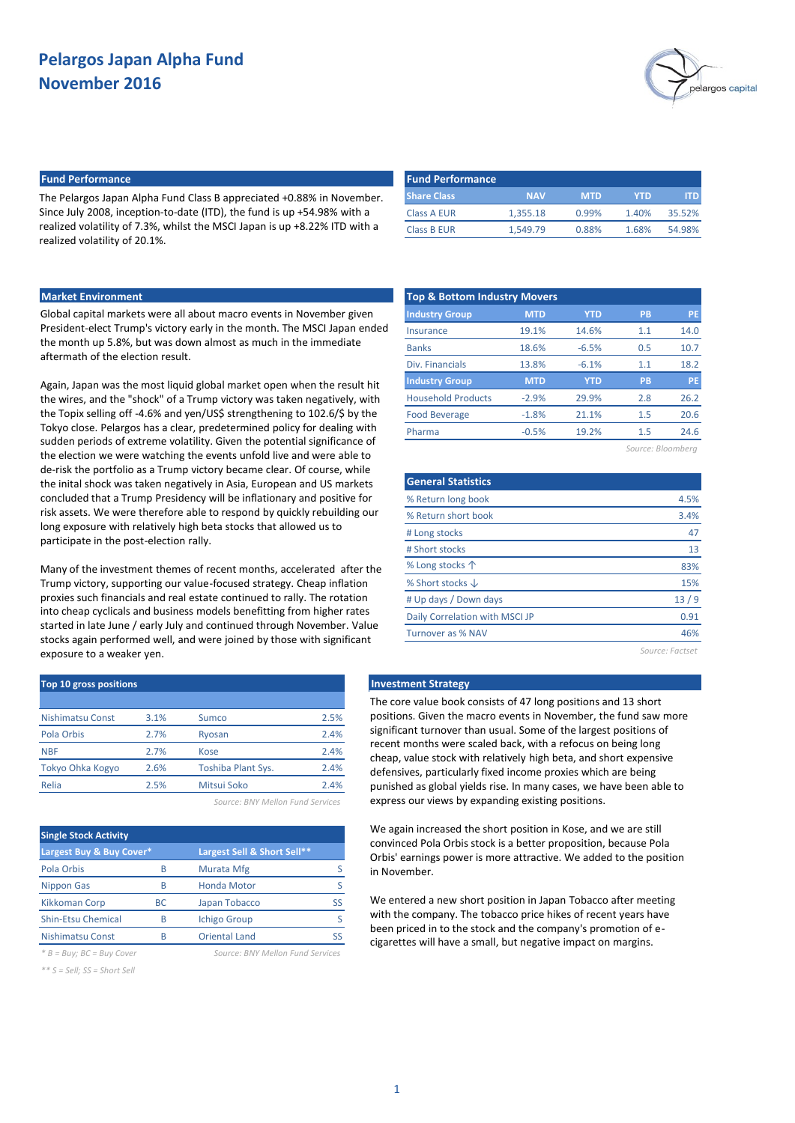

#### **Fund Performance Fund Performance**

The Pelargos Japan Alpha Fund Class B appreciated +0.88% in November. Since July 2008, inception-to-date (ITD), the fund is up +54.98% with a realized volatility of 7.3%, whilst the MSCI Japan is up +8.22% ITD with a realized volatility of 20.1%.

| <b>Fund Performance</b> |            |       |        |
|-------------------------|------------|-------|--------|
| <b>NAV</b>              | <b>MTD</b> | YTD   | ITD    |
| 1.355.18                | 0.99%      | 1.40% | 35.52% |
| 1.549.79                | 0.88%      | 1.68% | 54.98% |
|                         |            |       |        |

Global capital markets were all about macro events in November given President-elect Trump's victory early in the month. The MSCI Japan ended the month up 5.8%, but was down almost as much in the immediate aftermath of the election result.

Again, Japan was the most liquid global market open when the result hit the wires, and the "shock" of a Trump victory was taken negatively, with the Topix selling off -4.6% and yen/US\$ strengthening to 102.6/\$ by the Tokyo close. Pelargos has a clear, predetermined policy for dealing with sudden periods of extreme volatility. Given the potential significance of the election we were watching the events unfold live and were able to de-risk the portfolio as a Trump victory became clear. Of course, while the inital shock was taken negatively in Asia, European and US markets concluded that a Trump Presidency will be inflationary and positive for risk assets. We were therefore able to respond by quickly rebuilding our long exposure with relatively high beta stocks that allowed us to participate in the post-election rally.

Many of the investment themes of recent months, accelerated after the Trump victory, supporting our value-focused strategy. Cheap inflation proxies such financials and real estate continued to rally. The rotation into cheap cyclicals and business models benefitting from higher rates started in late June / early July and continued through November. Value stocks again performed well, and were joined by those with significant exposure to a weaker yen.

| Top 10 gross positions |                    |      |  |  |  |  |  |
|------------------------|--------------------|------|--|--|--|--|--|
|                        |                    |      |  |  |  |  |  |
| 3.1%                   | Sumco              | 2.5% |  |  |  |  |  |
| 2.7%                   | Ryosan             | 2.4% |  |  |  |  |  |
| 2.7%                   | Kose               | 2.4% |  |  |  |  |  |
| 2.6%                   | Toshiba Plant Sys. | 2.4% |  |  |  |  |  |
| 2.5%                   | Mitsui Soko        | 2.4% |  |  |  |  |  |
|                        |                    |      |  |  |  |  |  |

*Source: BNY Mellon Fund Services*

| <b>Single Stock Activity</b> |           |                             |  |  |  |  |  |  |
|------------------------------|-----------|-----------------------------|--|--|--|--|--|--|
| Largest Buy & Buy Cover*     |           | Largest Sell & Short Sell** |  |  |  |  |  |  |
| Pola Orbis                   | B         | Murata Mfg                  |  |  |  |  |  |  |
| <b>Nippon Gas</b>            | R         | <b>Honda Motor</b>          |  |  |  |  |  |  |
| <b>Kikkoman Corp</b>         | <b>BC</b> | Japan Tobacco               |  |  |  |  |  |  |
| <b>Shin-Etsu Chemical</b>    | B         | <b>Ichigo Group</b>         |  |  |  |  |  |  |
| <b>Nishimatsu Const</b>      | R         | <b>Oriental Land</b>        |  |  |  |  |  |  |

*\* B = Buy; BC = Buy Cover Source: BNY Mellon Fund Services*

*\*\* S = Sell; SS = Short Sell*

**Market Environment Top & Bottom Industry Movers Industry Group MTD YTD PB PE** Insurance Banks Div. Financials **Industry Group MTD YTD PB PE** Household Products Food Beverage Pharma 18.6% -0.5% 13.8% 19.1% 14.6% 1.1 14.0 -6.5% 0.5 10.7  $-6.1\%$  1.1 18.2 -2.9% 29.9% 2.8 26.2 -1.8% 21.1% 1.5 20.6 19.2% 1.5 24.6

*Source: Bloomberg*

| <b>General Statistics</b>      |                 |
|--------------------------------|-----------------|
| % Return long book             | 4.5%            |
| % Return short book            | 3.4%            |
| # Long stocks                  | 47              |
| # Short stocks                 | 13              |
| % Long stocks 个                | 83%             |
| % Short stocks $\downarrow$    | 15%             |
| # Up days / Down days          | 13/9            |
| Daily Correlation with MSCI JP | 0.91            |
| Turnover as % NAV              | 46%             |
|                                | Source: Factset |

### **Investment Strategy**

The core value book consists of 47 long positions and 13 short positions. Given the macro events in November, the fund saw more significant turnover than usual. Some of the largest positions of recent months were scaled back, with a refocus on being long cheap, value stock with relatively high beta, and short expensive defensives, particularly fixed income proxies which are being punished as global yields rise. In many cases, we have been able to express our views by expanding existing positions.

We again increased the short position in Kose, and we are still convinced Pola Orbis stock is a better proposition, because Pola Orbis' earnings power is more attractive. We added to the position in November.

We entered a new short position in Japan Tobacco after meeting with the company. The tobacco price hikes of recent years have been priced in to the stock and the company's promotion of ecigarettes will have a small, but negative impact on margins.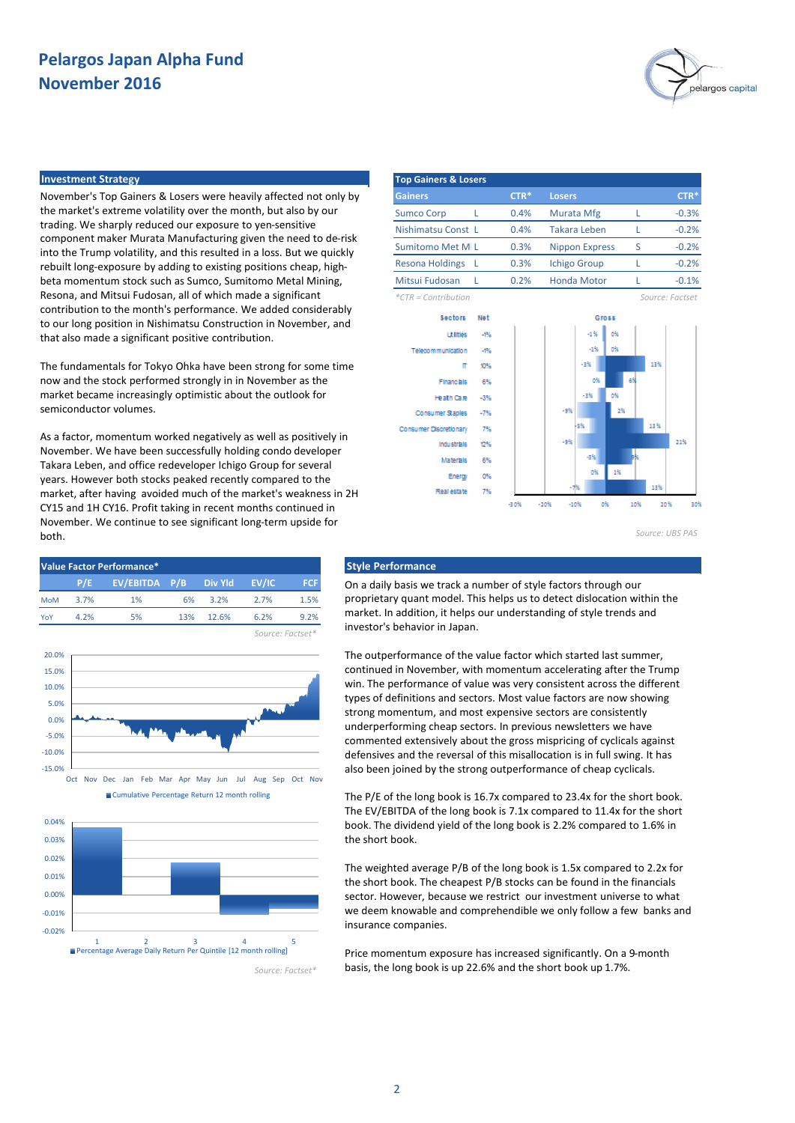

#### **Investment Strategy**

November's Top Gainers & Losers were heavily affected not only by the market's extreme volatility over the month, but also by our trading. We sharply reduced our exposure to yen-sensitive component maker Murata Manufacturing given the need to de-risk into the Trump volatility, and this resulted in a loss. But we quickly rebuilt long-exposure by adding to existing positions cheap, highbeta momentum stock such as Sumco, Sumitomo Metal Mining, Resona, and Mitsui Fudosan, all of which made a significant contribution to the month's performance. We added considerably to our long position in Nishimatsu Construction in November, and that also made a significant positive contribution.

The fundamentals for Tokyo Ohka have been strong for some time now and the stock performed strongly in in November as the market became increasingly optimistic about the outlook for semiconductor volumes.

As a factor, momentum worked negatively as well as positively in November. We have been successfully holding condo developer Takara Leben, and office redeveloper Ichigo Group for several years. However both stocks peaked recently compared to the market, after having avoided much of the market's weakness in 2H CY15 and 1H CY16. Profit taking in recent months continued in November. We continue to see significant long-term upside for both.







| <b>Top Gainers &amp; Losers</b> |  |        |                       |   |                 |  |  |  |  |  |
|---------------------------------|--|--------|-----------------------|---|-----------------|--|--|--|--|--|
| <b>Gainers</b>                  |  | $CTR*$ | <b>Losers</b>         |   | $CTR*$          |  |  |  |  |  |
| <b>Sumco Corp</b>               |  | 0.4%   | Murata Mfg            |   | $-0.3%$         |  |  |  |  |  |
| Nishimatsu Const L              |  | 0.4%   | <b>Takara Leben</b>   |   | $-0.2%$         |  |  |  |  |  |
| Sumitomo Met MiL                |  | 0.3%   | <b>Nippon Express</b> | S | $-0.2%$         |  |  |  |  |  |
| <b>Resona Holdings</b>          |  | 0.3%   | <b>Ichigo Group</b>   |   | $-0.2%$         |  |  |  |  |  |
| Mitsui Fudosan                  |  | 0.2%   | <b>Honda Motor</b>    |   | $-0.1%$         |  |  |  |  |  |
| $*CTR =$ Contribution           |  |        |                       |   | Source: Factset |  |  |  |  |  |



*Source: UBS PAS*

On a daily basis we track a number of style factors through our proprietary quant model. This helps us to detect dislocation within the market. In addition, it helps our understanding of style trends and investor's behavior in Japan.

The outperformance of the value factor which started last summer, continued in November, with momentum accelerating after the Trump win. The performance of value was very consistent across the different types of definitions and sectors. Most value factors are now showing strong momentum, and most expensive sectors are consistently underperforming cheap sectors. In previous newsletters we have commented extensively about the gross mispricing of cyclicals against defensives and the reversal of this misallocation is in full swing. It has also been joined by the strong outperformance of cheap cyclicals.

The P/E of the long book is 16.7x compared to 23.4x for the short book. The EV/EBITDA of the long book is 7.1x compared to 11.4x for the short book. The dividend yield of the long book is 2.2% compared to 1.6% in the short book.

The weighted average P/B of the long book is 1.5x compared to 2.2x for the short book. The cheapest P/B stocks can be found in the financials sector. However, because we restrict our investment universe to what we deem knowable and comprehendible we only follow a few banks and insurance companies.

Price momentum exposure has increased significantly. On a 9-month basis, the long book is up 22.6% and the short book up 1.7%.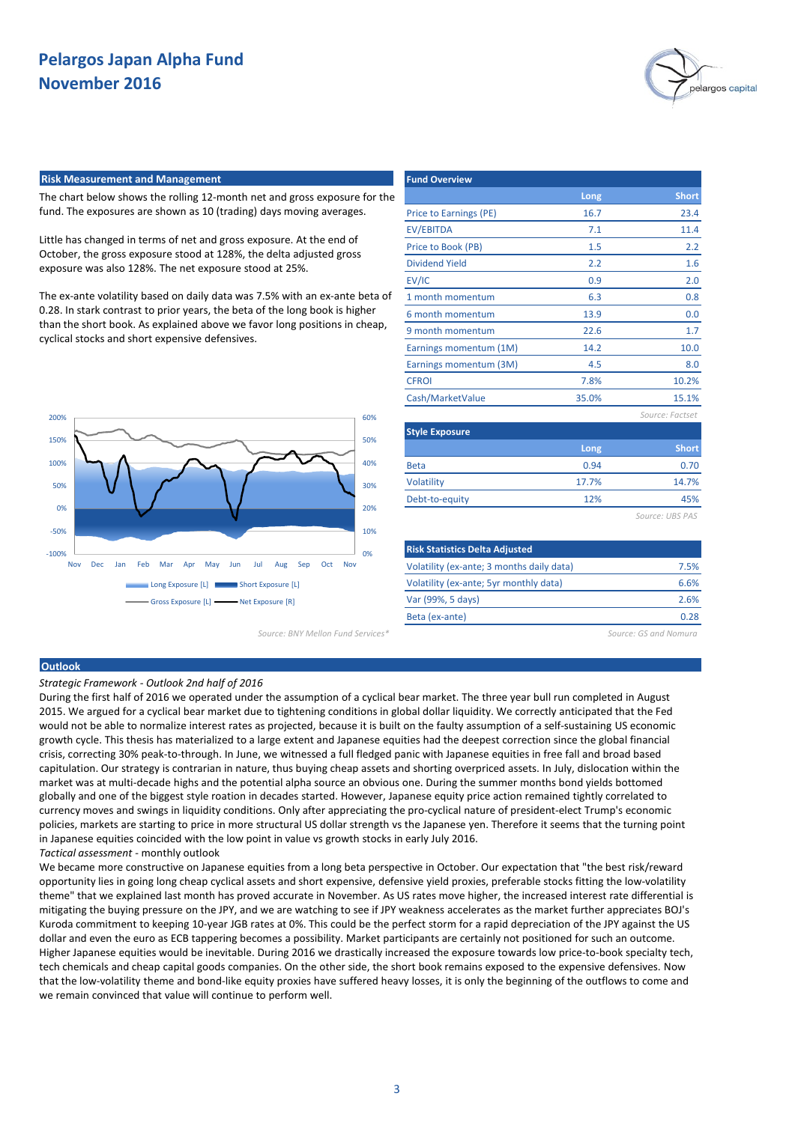

#### **Risk Measurement and Management**

The chart below shows the rolling 12-month net and gross exposure for the fund. The exposures are shown as 10 (trading) days moving averages.

Little has changed in terms of net and gross exposure. At the end of October, the gross exposure stood at 128%, the delta adjusted gross exposure was also 128%. The net exposure stood at 25%.

The ex-ante volatility based on daily data was 7.5% with an ex-ante beta of 0.28. In stark contrast to prior years, the beta of the long book is higher than the short book. As explained above we favor long positions in cheap, cyclical stocks and short expensive defensives.



*Source: BNY Mellon Fund Services\* Source: GS and Nomura*

| <b>Fund Overview</b>   |       |                 |
|------------------------|-------|-----------------|
|                        | Long  | <b>Short</b>    |
| Price to Earnings (PE) | 16.7  | 23.4            |
| <b>EV/EBITDA</b>       | 7.1   | 11.4            |
| Price to Book (PB)     | 1.5   | 2.2             |
| <b>Dividend Yield</b>  | 2.2   | 1.6             |
| EV/IC                  | 0.9   | 2.0             |
| 1 month momentum       | 6.3   | 0.8             |
| 6 month momentum       | 13.9  | 0.0             |
| 9 month momentum       | 22.6  | 1.7             |
| Earnings momentum (1M) | 14.2  | 10.0            |
| Earnings momentum (3M) | 4.5   | 8.0             |
| <b>CFROI</b>           | 7.8%  | 10.2%           |
| Cash/MarketValue       | 35.0% | 15.1%           |
|                        |       | Source: Factset |
| <b>Style Exposure</b>  |       |                 |
|                        | Long  | <b>Short</b>    |
| <b>Beta</b>            | 0.94  | 0.70            |
| <b>Volatility</b>      | 17.7% | 14.7%           |
| Debt-to-equity         | 12%   | 45%             |
|                        |       | Source: UBS PAS |

| <b>Risk Statistics Delta Adjusted</b>     |      |
|-------------------------------------------|------|
| Volatility (ex-ante; 3 months daily data) | 7.5% |
| Volatility (ex-ante; 5yr monthly data)    | 6.6% |
| Var (99%, 5 days)                         | 2.6% |
| Beta (ex-ante)                            | በ ንጾ |

### **Outlook**

*Strategic Framework - Outlook 2nd half of 2016*

During the first half of 2016 we operated under the assumption of a cyclical bear market. The three year bull run completed in August 2015. We argued for a cyclical bear market due to tightening conditions in global dollar liquidity. We correctly anticipated that the Fed would not be able to normalize interest rates as projected, because it is built on the faulty assumption of a self-sustaining US economic growth cycle. This thesis has materialized to a large extent and Japanese equities had the deepest correction since the global financial crisis, correcting 30% peak-to-through. In June, we witnessed a full fledged panic with Japanese equities in free fall and broad based capitulation. Our strategy is contrarian in nature, thus buying cheap assets and shorting overpriced assets. In July, dislocation within the market was at multi-decade highs and the potential alpha source an obvious one. During the summer months bond yields bottomed globally and one of the biggest style roation in decades started. However, Japanese equity price action remained tightly correlated to currency moves and swings in liquidity conditions. Only after appreciating the pro-cyclical nature of president-elect Trump's economic policies, markets are starting to price in more structural US dollar strength vs the Japanese yen. Therefore it seems that the turning point in Japanese equities coincided with the low point in value vs growth stocks in early July 2016. *Tactical assessment* - monthly outlook

We became more constructive on Japanese equities from a long beta perspective in October. Our expectation that "the best risk/reward opportunity lies in going long cheap cyclical assets and short expensive, defensive yield proxies, preferable stocks fitting the low-volatility theme" that we explained last month has proved accurate in November. As US rates move higher, the increased interest rate differential is mitigating the buying pressure on the JPY, and we are watching to see if JPY weakness accelerates as the market further appreciates BOJ's Kuroda commitment to keeping 10-year JGB rates at 0%. This could be the perfect storm for a rapid depreciation of the JPY against the US dollar and even the euro as ECB tappering becomes a possibility. Market participants are certainly not positioned for such an outcome. Higher Japanese equities would be inevitable. During 2016 we drastically increased the exposure towards low price-to-book specialty tech, tech chemicals and cheap capital goods companies. On the other side, the short book remains exposed to the expensive defensives. Now that the low-volatility theme and bond-like equity proxies have suffered heavy losses, it is only the beginning of the outflows to come and we remain convinced that value will continue to perform well.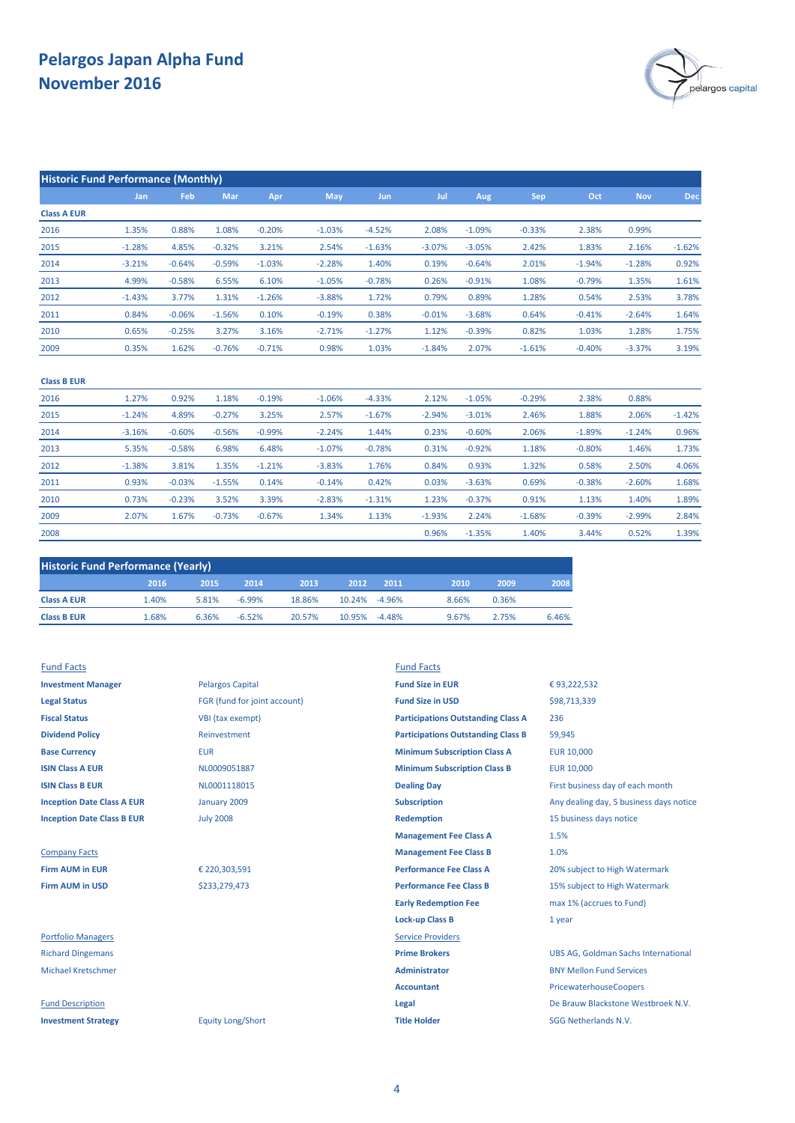

| <b>Historic Fund Performance (Monthly)</b> |            |          |          |          |            |            |          |          |          |          |            |          |
|--------------------------------------------|------------|----------|----------|----------|------------|------------|----------|----------|----------|----------|------------|----------|
|                                            | <b>Jan</b> | Feb      | Mar      | Apr      | <b>May</b> | <b>Jun</b> | Jul      | Aug      | Sep      | Oct      | <b>Nov</b> | Dec      |
| <b>Class A EUR</b>                         |            |          |          |          |            |            |          |          |          |          |            |          |
| 2016                                       | 1.35%      | 0.88%    | 1.08%    | $-0.20%$ | $-1.03%$   | $-4.52%$   | 2.08%    | $-1.09%$ | $-0.33%$ | 2.38%    | 0.99%      |          |
| 2015                                       | $-1.28%$   | 4.85%    | $-0.32%$ | 3.21%    | 2.54%      | $-1.63%$   | $-3.07%$ | $-3.05%$ | 2.42%    | 1.83%    | 2.16%      | $-1.62%$ |
| 2014                                       | $-3.21%$   | $-0.64%$ | $-0.59%$ | $-1.03%$ | $-2.28%$   | 1.40%      | 0.19%    | $-0.64%$ | 2.01%    | $-1.94%$ | $-1.28%$   | 0.92%    |
| 2013                                       | 4.99%      | $-0.58%$ | 6.55%    | 6.10%    | $-1.05%$   | $-0.78%$   | 0.26%    | $-0.91%$ | 1.08%    | $-0.79%$ | 1.35%      | 1.61%    |
| 2012                                       | $-1.43%$   | 3.77%    | 1.31%    | $-1.26%$ | $-3.88%$   | 1.72%      | 0.79%    | 0.89%    | 1.28%    | 0.54%    | 2.53%      | 3.78%    |
| 2011                                       | 0.84%      | $-0.06%$ | $-1.56%$ | 0.10%    | $-0.19%$   | 0.38%      | $-0.01%$ | $-3.68%$ | 0.64%    | $-0.41%$ | $-2.64%$   | 1.64%    |
| 2010                                       | 0.65%      | $-0.25%$ | 3.27%    | 3.16%    | $-2.71%$   | $-1.27%$   | 1.12%    | $-0.39%$ | 0.82%    | 1.03%    | 1.28%      | 1.75%    |
| 2009                                       | 0.35%      | 1.62%    | $-0.76%$ | $-0.71%$ | 0.98%      | 1.03%      | $-1.84%$ | 2.07%    | $-1.61%$ | $-0.40%$ | $-3.37%$   | 3.19%    |
|                                            |            |          |          |          |            |            |          |          |          |          |            |          |

| <b>Class B EUR</b> |          |          |          |          |          |          |          |          |          |          |          |          |
|--------------------|----------|----------|----------|----------|----------|----------|----------|----------|----------|----------|----------|----------|
| 2016               | 1.27%    | 0.92%    | 1.18%    | $-0.19%$ | $-1.06%$ | $-4.33%$ | 2.12%    | $-1.05%$ | $-0.29%$ | 2.38%    | 0.88%    |          |
| 2015               | $-1.24%$ | 4.89%    | $-0.27%$ | 3.25%    | 2.57%    | $-1.67%$ | $-2.94%$ | $-3.01%$ | 2.46%    | 1.88%    | 2.06%    | $-1.42%$ |
| 2014               | $-3.16%$ | $-0.60%$ | $-0.56%$ | $-0.99%$ | $-2.24%$ | 1.44%    | 0.23%    | $-0.60%$ | 2.06%    | $-1.89%$ | $-1.24%$ | 0.96%    |
| 2013               | 5.35%    | $-0.58%$ | 6.98%    | 6.48%    | $-1.07%$ | $-0.78%$ | 0.31%    | $-0.92%$ | 1.18%    | $-0.80%$ | 1.46%    | 1.73%    |
| 2012               | $-1.38%$ | 3.81%    | 1.35%    | $-1.21%$ | $-3.83%$ | 1.76%    | 0.84%    | 0.93%    | 1.32%    | 0.58%    | 2.50%    | 4.06%    |
| 2011               | 0.93%    | $-0.03%$ | $-1.55%$ | 0.14%    | $-0.14%$ | 0.42%    | 0.03%    | $-3.63%$ | 0.69%    | $-0.38%$ | $-2.60%$ | 1.68%    |
| 2010               | 0.73%    | $-0.23%$ | 3.52%    | 3.39%    | $-2.83%$ | $-1.31%$ | 1.23%    | $-0.37%$ | 0.91%    | 1.13%    | 1.40%    | 1.89%    |
| 2009               | 2.07%    | 1.67%    | $-0.73%$ | $-0.67%$ | 1.34%    | 1.13%    | $-1.93%$ | 2.24%    | $-1.68%$ | $-0.39%$ | $-2.99%$ | 2.84%    |
| 2008               |          |          |          |          |          |          | 0.96%    | $-1.35%$ | 1.40%    | 3.44%    | 0.52%    | 1.39%    |

| <b>Historic Fund Performance (Yearly)</b> |       |       |          |        |               |          |       |       |       |  |
|-------------------------------------------|-------|-------|----------|--------|---------------|----------|-------|-------|-------|--|
|                                           | 2016  | 2015  | 2014     | 2013   | 2012          | 2011     | 2010  | 2009  | 2008  |  |
| <b>Class A EUR</b>                        | 1.40% | 5.81% | $-6.99%$ | 18.86% | 10.24% -4.96% |          | 8.66% | 0.36% |       |  |
| <b>Class B EUR</b>                        | 1.68% | 6.36% | $-6.52%$ | 20.57% | 10.95%        | $-4.48%$ | 9.67% | 2.75% | 6.46% |  |

| <b>Fund Facts</b>                 |                              | <b>Fund Facts</b>                         |                                            |
|-----------------------------------|------------------------------|-------------------------------------------|--------------------------------------------|
| <b>Investment Manager</b>         | <b>Pelargos Capital</b>      | <b>Fund Size in EUR</b>                   | €93,222,532                                |
| <b>Legal Status</b>               | FGR (fund for joint account) | <b>Fund Size in USD</b>                   | \$98,713,339                               |
| <b>Fiscal Status</b>              | VBI (tax exempt)             | <b>Participations Outstanding Class A</b> | 236                                        |
| <b>Dividend Policy</b>            | Reinvestment                 | <b>Participations Outstanding Class B</b> | 59,945                                     |
| <b>Base Currency</b>              | <b>EUR</b>                   | <b>Minimum Subscription Class A</b>       | <b>EUR 10,000</b>                          |
| <b>ISIN Class A EUR</b>           | NL0009051887                 | <b>Minimum Subscription Class B</b>       | <b>EUR 10,000</b>                          |
| <b>ISIN Class B EUR</b>           | NL0001118015                 | <b>Dealing Day</b>                        | First business day of each month           |
| <b>Inception Date Class A EUR</b> | January 2009                 | <b>Subscription</b>                       | Any dealing day, 5 business days notice    |
| <b>Inception Date Class B EUR</b> | <b>July 2008</b>             | <b>Redemption</b>                         | 15 business days notice                    |
|                                   |                              | <b>Management Fee Class A</b>             | 1.5%                                       |
| <b>Company Facts</b>              |                              | <b>Management Fee Class B</b>             | 1.0%                                       |
| <b>Firm AUM in EUR</b>            | € 220,303,591                | <b>Performance Fee Class A</b>            | 20% subject to High Watermark              |
| <b>Firm AUM in USD</b>            | \$233,279,473                | <b>Performance Fee Class B</b>            | 15% subject to High Watermark              |
|                                   |                              | <b>Early Redemption Fee</b>               | max 1% (accrues to Fund)                   |
|                                   |                              | <b>Lock-up Class B</b>                    | 1 year                                     |
| <b>Portfolio Managers</b>         |                              | <b>Service Providers</b>                  |                                            |
| <b>Richard Dingemans</b>          |                              | <b>Prime Brokers</b>                      | <b>UBS AG, Goldman Sachs International</b> |
| <b>Michael Kretschmer</b>         |                              | <b>Administrator</b>                      | <b>BNY Mellon Fund Services</b>            |
|                                   |                              | <b>Accountant</b>                         | PricewaterhouseCoopers                     |
| <b>Fund Description</b>           |                              | Legal                                     | De Brauw Blackstone Westbroek N.V.         |
| <b>Investment Strategy</b>        | <b>Equity Long/Short</b>     | <b>Title Holder</b>                       | SGG Netherlands N.V.                       |